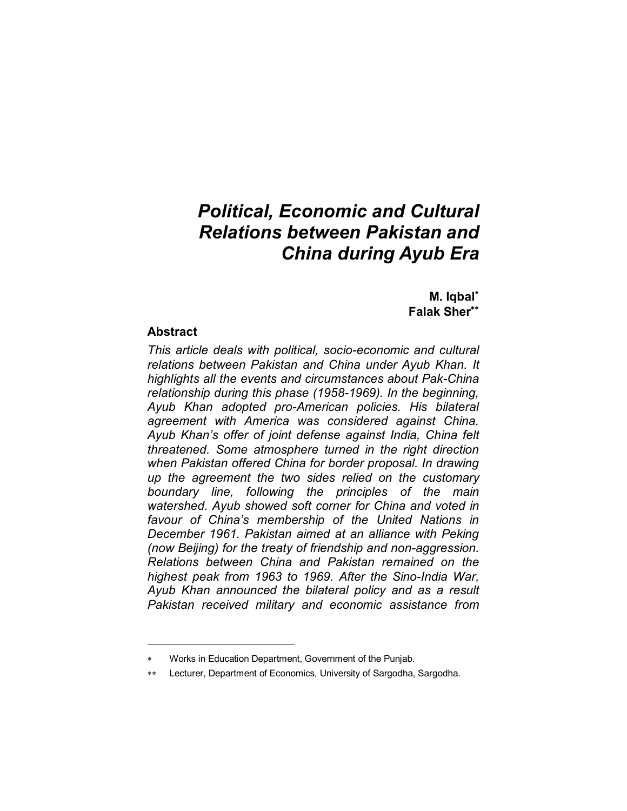## *Political, Economic and Cultural Relations between Pakistan and China during Ayub Era*

**M. Iqbal**<sup>∗</sup> **Falak Sher**∗∗

## **Abstract**

 $\overline{a}$ 

*This article deals with political, socio-economic and cultural relations between Pakistan and China under Ayub Khan. It highlights all the events and circumstances about Pak-China relationship during this phase (1958-1969). In the beginning, Ayub Khan adopted pro-American policies. His bilateral agreement with America was considered against China. Ayub Khan's offer of joint defense against India, China felt threatened. Some atmosphere turned in the right direction when Pakistan offered China for border proposal. In drawing up the agreement the two sides relied on the customary boundary line, following the principles of the main watershed. Ayub showed soft corner for China and voted in favour of China's membership of the United Nations in December 1961. Pakistan aimed at an alliance with Peking (now Beijing) for the treaty of friendship and non-aggression. Relations between China and Pakistan remained on the highest peak from 1963 to 1969. After the Sino-India War, Ayub Khan announced the bilateral policy and as a result Pakistan received military and economic assistance from* 

Works in Education Department, Government of the Punjab.

Lecturer, Department of Economics, University of Sargodha, Sargodha.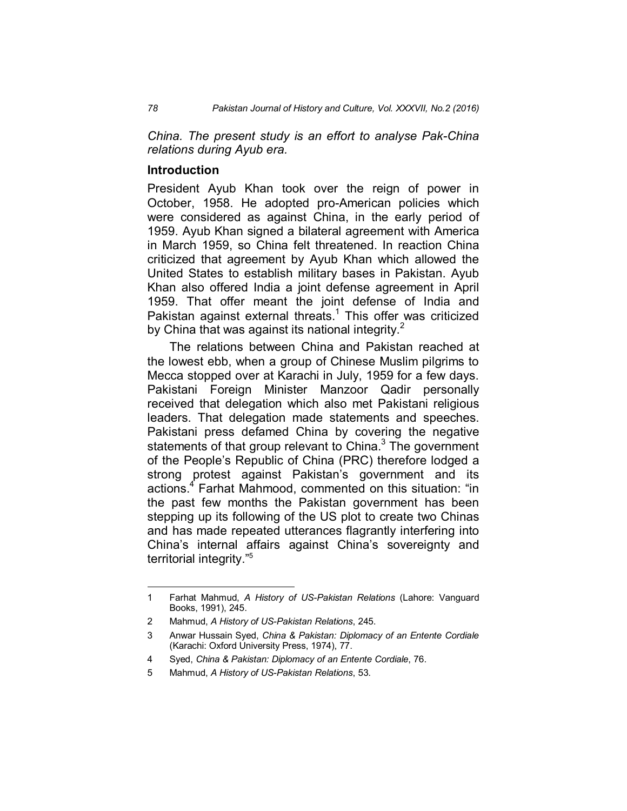*China. The present study is an effort to analyse Pak-China relations during Ayub era.* 

## **Introduction**

President Ayub Khan took over the reign of power in October, 1958. He adopted pro-American policies which were considered as against China, in the early period of 1959. Ayub Khan signed a bilateral agreement with America in March 1959, so China felt threatened. In reaction China criticized that agreement by Ayub Khan which allowed the United States to establish military bases in Pakistan. Ayub Khan also offered India a joint defense agreement in April 1959. That offer meant the joint defense of India and Pakistan against external threats.<sup>1</sup> This offer was criticized by China that was against its national integrity. $<sup>2</sup>$ </sup>

The relations between China and Pakistan reached at the lowest ebb, when a group of Chinese Muslim pilgrims to Mecca stopped over at Karachi in July, 1959 for a few days. Pakistani Foreign Minister Manzoor Qadir personally received that delegation which also met Pakistani religious leaders. That delegation made statements and speeches. Pakistani press defamed China by covering the negative statements of that group relevant to China. $3$  The government of the People's Republic of China (PRC) therefore lodged a strong protest against Pakistan's government and its actions.<sup>4</sup> Farhat Mahmood, commented on this situation: "in the past few months the Pakistan government has been stepping up its following of the US plot to create two Chinas and has made repeated utterances flagrantly interfering into China's internal affairs against China's sovereignty and territorial integrity."<sup>5</sup>

<sup>1</sup> Farhat Mahmud, *A History of US-Pakistan Relations* (Lahore: Vanguard Books, 1991), 245.

<sup>2</sup> Mahmud, *A History of US-Pakistan Relations*, 245.

<sup>3</sup> Anwar Hussain Syed, *China & Pakistan: Diplomacy of an Entente Cordiale* (Karachi: Oxford University Press, 1974), 77.

<sup>4</sup> Syed, *China & Pakistan: Diplomacy of an Entente Cordiale*, 76.

<sup>5</sup> Mahmud, *A History of US-Pakistan Relations*, 53.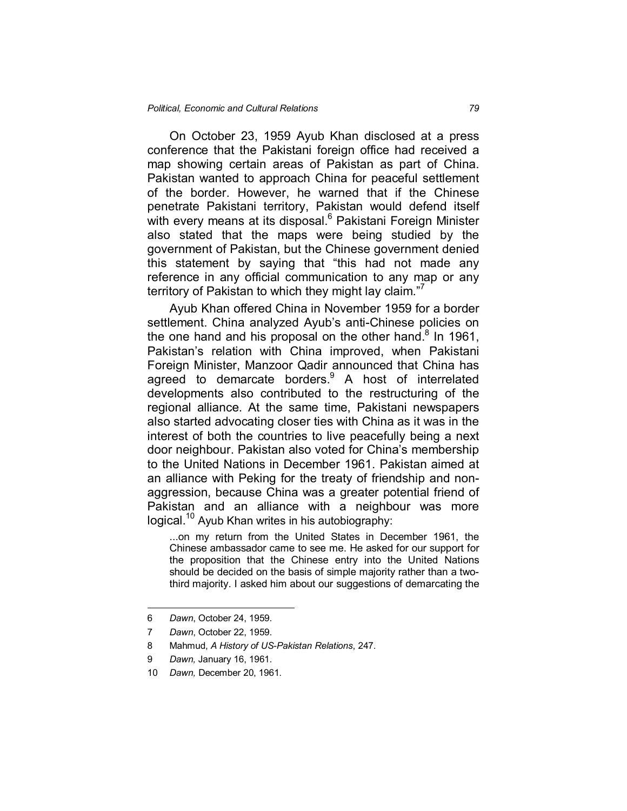On October 23, 1959 Ayub Khan disclosed at a press conference that the Pakistani foreign office had received a map showing certain areas of Pakistan as part of China. Pakistan wanted to approach China for peaceful settlement of the border. However, he warned that if the Chinese penetrate Pakistani territory, Pakistan would defend itself with every means at its disposal.<sup>6</sup> Pakistani Foreign Minister also stated that the maps were being studied by the government of Pakistan, but the Chinese government denied this statement by saying that "this had not made any reference in any official communication to any map or any territory of Pakistan to which they might lay claim."7

Ayub Khan offered China in November 1959 for a border settlement. China analyzed Ayub's anti-Chinese policies on the one hand and his proposal on the other hand. $8$  In 1961, Pakistan's relation with China improved, when Pakistani Foreign Minister, Manzoor Qadir announced that China has agreed to demarcate borders.<sup>9</sup> A host of interrelated developments also contributed to the restructuring of the regional alliance. At the same time, Pakistani newspapers also started advocating closer ties with China as it was in the interest of both the countries to live peacefully being a next door neighbour. Pakistan also voted for China's membership to the United Nations in December 1961. Pakistan aimed at an alliance with Peking for the treaty of friendship and nonaggression, because China was a greater potential friend of Pakistan and an alliance with a neighbour was more logical.<sup>10</sup> Ayub Khan writes in his autobiography:

...on my return from the United States in December 1961, the Chinese ambassador came to see me. He asked for our support for the proposition that the Chinese entry into the United Nations should be decided on the basis of simple majority rather than a twothird majority. I asked him about our suggestions of demarcating the

<u>.</u>

<sup>6</sup> *Dawn*, October 24, 1959.

<sup>7</sup> *Dawn*, October 22, 1959.

<sup>8</sup> Mahmud, *A History of US-Pakistan Relations*, 247.

<sup>9</sup> *Dawn,* January 16, 1961.

<sup>10</sup> *Dawn,* December 20, 1961.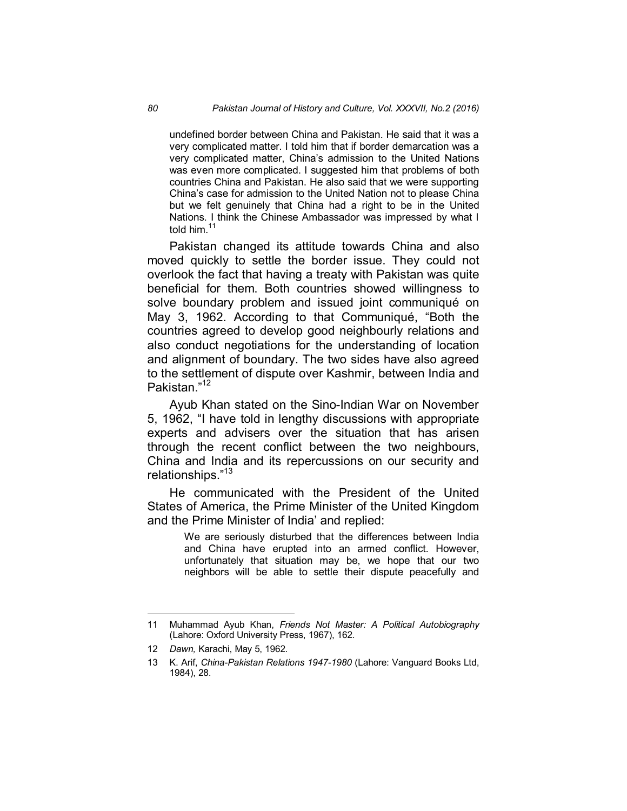undefined border between China and Pakistan. He said that it was a very complicated matter. I told him that if border demarcation was a very complicated matter, China's admission to the United Nations was even more complicated. I suggested him that problems of both countries China and Pakistan. He also said that we were supporting China's case for admission to the United Nation not to please China but we felt genuinely that China had a right to be in the United Nations. I think the Chinese Ambassador was impressed by what I told him.<sup>11</sup>

Pakistan changed its attitude towards China and also moved quickly to settle the border issue. They could not overlook the fact that having a treaty with Pakistan was quite beneficial for them. Both countries showed willingness to solve boundary problem and issued joint communiqué on May 3, 1962. According to that Communiqué, "Both the countries agreed to develop good neighbourly relations and also conduct negotiations for the understanding of location and alignment of boundary. The two sides have also agreed to the settlement of dispute over Kashmir, between India and Pakistan."<sup>12</sup>

Ayub Khan stated on the Sino-Indian War on November 5, 1962, "I have told in lengthy discussions with appropriate experts and advisers over the situation that has arisen through the recent conflict between the two neighbours, China and India and its repercussions on our security and relationships."<sup>13</sup>

He communicated with the President of the United States of America, the Prime Minister of the United Kingdom and the Prime Minister of India' and replied:

> We are seriously disturbed that the differences between India and China have erupted into an armed conflict. However, unfortunately that situation may be, we hope that our two neighbors will be able to settle their dispute peacefully and

<sup>11</sup> Muhammad Ayub Khan, *Friends Not Master: A Political Autobiography* (Lahore: Oxford University Press, 1967), 162.

<sup>12</sup> *Dawn,* Karachi, May 5, 1962.

<sup>13</sup> K. Arif, *China-Pakistan Relations 1947-1980* (Lahore: Vanguard Books Ltd, 1984), 28.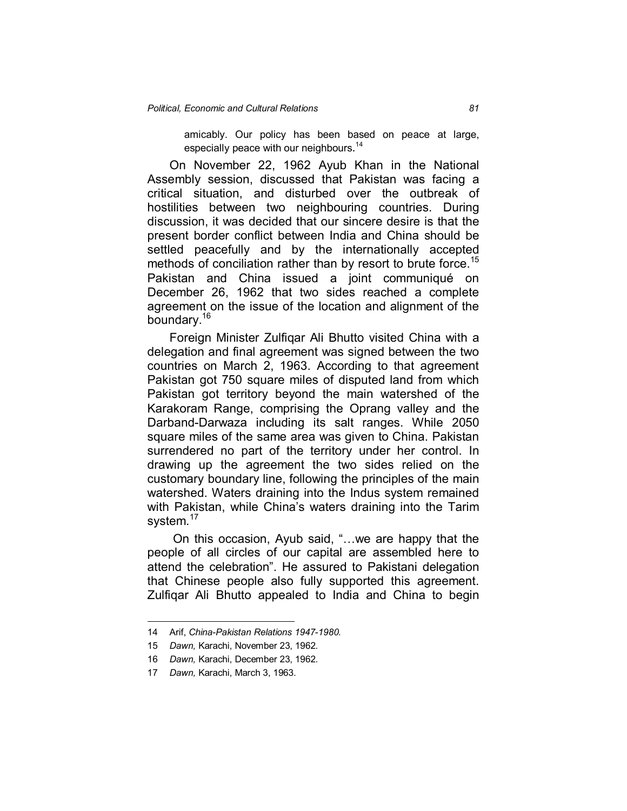amicably. Our policy has been based on peace at large, especially peace with our neighbours.<sup>14</sup>

On November 22, 1962 Ayub Khan in the National Assembly session, discussed that Pakistan was facing a critical situation, and disturbed over the outbreak of hostilities between two neighbouring countries. During discussion, it was decided that our sincere desire is that the present border conflict between India and China should be settled peacefully and by the internationally accepted methods of conciliation rather than by resort to brute force.<sup>15</sup> Pakistan and China issued a joint communiqué on December 26, 1962 that two sides reached a complete agreement on the issue of the location and alignment of the boundary.<sup>16</sup>

Foreign Minister Zulfiqar Ali Bhutto visited China with a delegation and final agreement was signed between the two countries on March 2, 1963. According to that agreement Pakistan got 750 square miles of disputed land from which Pakistan got territory beyond the main watershed of the Karakoram Range, comprising the Oprang valley and the Darband-Darwaza including its salt ranges. While 2050 square miles of the same area was given to China. Pakistan surrendered no part of the territory under her control. In drawing up the agreement the two sides relied on the customary boundary line, following the principles of the main watershed. Waters draining into the Indus system remained with Pakistan, while China's waters draining into the Tarim system.<sup>17</sup>

On this occasion, Ayub said, "...we are happy that the people of all circles of our capital are assembled here to attend the celebration". He assured to Pakistani delegation that Chinese people also fully supported this agreement. Zulfiqar Ali Bhutto appealed to India and China to begin

<sup>14</sup> Arif, *China-Pakistan Relations 1947-1980.*

<sup>15</sup> *Dawn,* Karachi, November 23, 1962.

<sup>16</sup> *Dawn,* Karachi, December 23, 1962.

<sup>17</sup> *Dawn,* Karachi, March 3, 1963.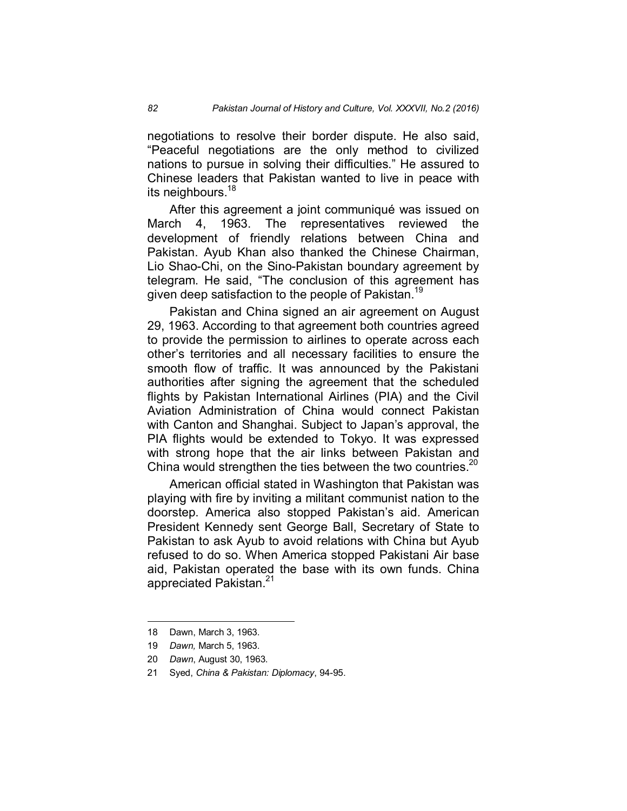negotiations to resolve their border dispute. He also said, "Peaceful negotiations are the only method to civilized nations to pursue in solving their difficulties." He assured to Chinese leaders that Pakistan wanted to live in peace with its neighbours.<sup>18</sup>

After this agreement a joint communiqué was issued on March 4, 1963. The representatives reviewed the development of friendly relations between China and Pakistan. Ayub Khan also thanked the Chinese Chairman, Lio Shao-Chi, on the Sino-Pakistan boundary agreement by telegram. He said, "The conclusion of this agreement has given deep satisfaction to the people of Pakistan.<sup>19</sup>

Pakistan and China signed an air agreement on August 29, 1963. According to that agreement both countries agreed to provide the permission to airlines to operate across each other's territories and all necessary facilities to ensure the smooth flow of traffic. It was announced by the Pakistani authorities after signing the agreement that the scheduled flights by Pakistan International Airlines (PIA) and the Civil Aviation Administration of China would connect Pakistan with Canton and Shanghai. Subject to Japan's approval, the PIA flights would be extended to Tokyo. It was expressed with strong hope that the air links between Pakistan and China would strengthen the ties between the two countries. $20$ 

American official stated in Washington that Pakistan was playing with fire by inviting a militant communist nation to the doorstep. America also stopped Pakistan's aid. American President Kennedy sent George Ball, Secretary of State to Pakistan to ask Ayub to avoid relations with China but Ayub refused to do so. When America stopped Pakistani Air base aid, Pakistan operated the base with its own funds. China appreciated Pakistan.<sup>21</sup>

<sup>18</sup> Dawn, March 3, 1963.

<sup>19</sup> *Dawn,* March 5, 1963.

<sup>20</sup> *Dawn*, August 30, 1963.

<sup>21</sup> Syed, *China & Pakistan: Diplomacy*, 94-95.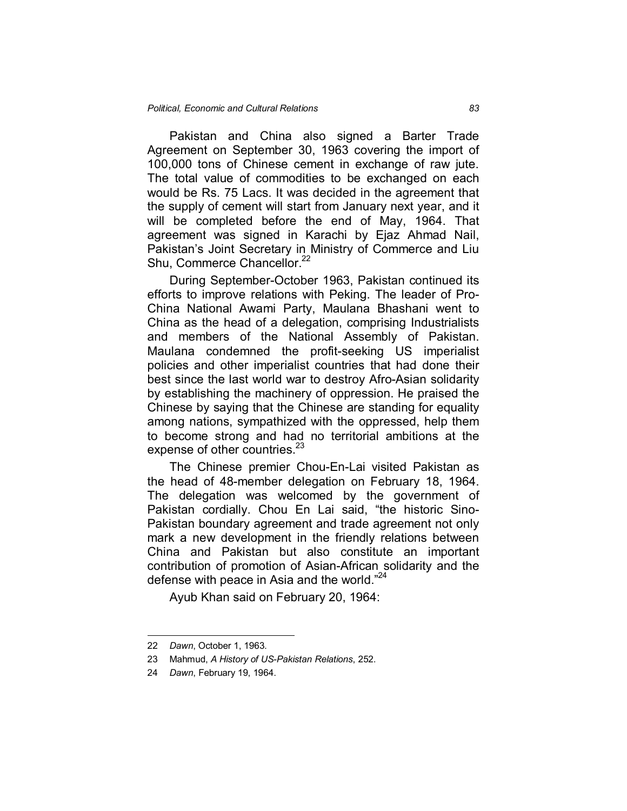Pakistan and China also signed a Barter Trade Agreement on September 30, 1963 covering the import of 100,000 tons of Chinese cement in exchange of raw jute. The total value of commodities to be exchanged on each would be Rs. 75 Lacs. It was decided in the agreement that the supply of cement will start from January next year, and it will be completed before the end of May, 1964. That agreement was signed in Karachi by Ejaz Ahmad Nail, Pakistan's Joint Secretary in Ministry of Commerce and Liu Shu, Commerce Chancellor.<sup>22</sup>

During September-October 1963, Pakistan continued its efforts to improve relations with Peking. The leader of Pro-China National Awami Party, Maulana Bhashani went to China as the head of a delegation, comprising Industrialists and members of the National Assembly of Pakistan. Maulana condemned the profit-seeking US imperialist policies and other imperialist countries that had done their best since the last world war to destroy Afro-Asian solidarity by establishing the machinery of oppression. He praised the Chinese by saying that the Chinese are standing for equality among nations, sympathized with the oppressed, help them to become strong and had no territorial ambitions at the expense of other countries.<sup>23</sup>

The Chinese premier Chou-En-Lai visited Pakistan as the head of 48-member delegation on February 18, 1964. The delegation was welcomed by the government of Pakistan cordially. Chou En Lai said, "the historic Sino-Pakistan boundary agreement and trade agreement not only mark a new development in the friendly relations between China and Pakistan but also constitute an important contribution of promotion of Asian-African solidarity and the defense with peace in Asia and the world."<sup>24</sup>

Ayub Khan said on February 20, 1964:

<sup>22</sup> *Dawn*, October 1, 1963.

<sup>23</sup> Mahmud, *A History of US-Pakistan Relations*, 252.

<sup>24</sup> *Dawn*, February 19, 1964.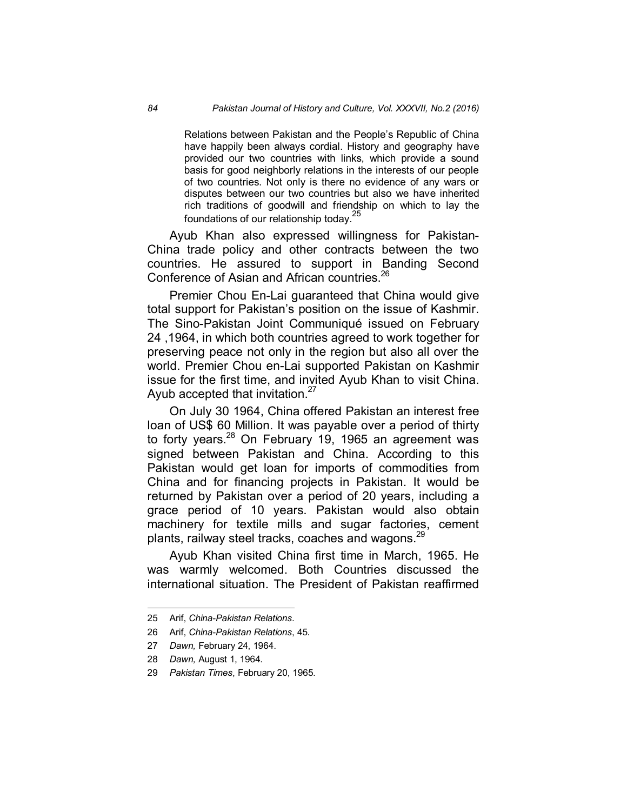Relations between Pakistan and the People's Republic of China have happily been always cordial. History and geography have provided our two countries with links, which provide a sound basis for good neighborly relations in the interests of our people of two countries. Not only is there no evidence of any wars or disputes between our two countries but also we have inherited rich traditions of goodwill and friendship on which to lay the foundations of our relationship today.<sup>25</sup>

Ayub Khan also expressed willingness for Pakistan-China trade policy and other contracts between the two countries. He assured to support in Banding Second Conference of Asian and African countries.<sup>26</sup>

Premier Chou En-Lai guaranteed that China would give total support for Pakistan's position on the issue of Kashmir. The Sino-Pakistan Joint Communiqué issued on February 24 ,1964, in which both countries agreed to work together for preserving peace not only in the region but also all over the world. Premier Chou en-Lai supported Pakistan on Kashmir issue for the first time, and invited Ayub Khan to visit China. Ayub accepted that invitation.<sup>27</sup>

On July 30 1964, China offered Pakistan an interest free loan of US\$ 60 Million. It was payable over a period of thirty to forty years.<sup>28</sup> On February 19, 1965 an agreement was signed between Pakistan and China. According to this Pakistan would get loan for imports of commodities from China and for financing projects in Pakistan. It would be returned by Pakistan over a period of 20 years, including a grace period of 10 years. Pakistan would also obtain machinery for textile mills and sugar factories, cement plants, railway steel tracks, coaches and wagons.<sup>29</sup>

Ayub Khan visited China first time in March, 1965. He was warmly welcomed. Both Countries discussed the international situation. The President of Pakistan reaffirmed

<u>.</u>

<sup>25</sup> Arif, *China-Pakistan Relations*.

<sup>26</sup> Arif, *China-Pakistan Relations*, 45.

<sup>27</sup> *Dawn,* February 24, 1964.

<sup>28</sup> *Dawn,* August 1, 1964.

<sup>29</sup> *Pakistan Times*, February 20, 1965.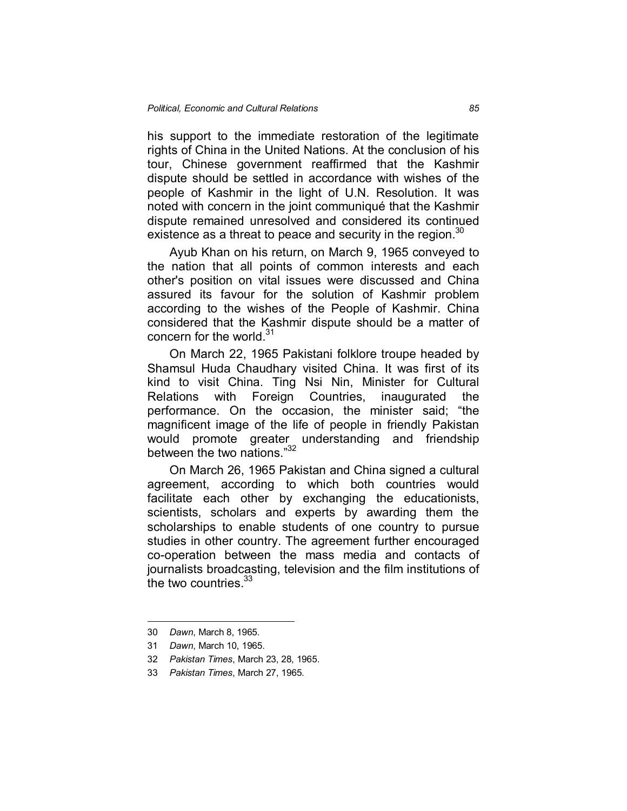his support to the immediate restoration of the legitimate rights of China in the United Nations. At the conclusion of his tour, Chinese government reaffirmed that the Kashmir dispute should be settled in accordance with wishes of the people of Kashmir in the light of U.N. Resolution. It was noted with concern in the joint communiqué that the Kashmir dispute remained unresolved and considered its continued existence as a threat to peace and security in the region.<sup>30</sup>

Ayub Khan on his return, on March 9, 1965 conveyed to the nation that all points of common interests and each other's position on vital issues were discussed and China assured its favour for the solution of Kashmir problem according to the wishes of the People of Kashmir. China considered that the Kashmir dispute should be a matter of concern for the world.<sup>31</sup>

On March 22, 1965 Pakistani folklore troupe headed by Shamsul Huda Chaudhary visited China. It was first of its kind to visit China. Ting Nsi Nin, Minister for Cultural Relations with Foreign Countries, inaugurated the performance. On the occasion, the minister said; "the magnificent image of the life of people in friendly Pakistan would promote greater understanding and friendship between the two nations."<sup>32</sup>

On March 26, 1965 Pakistan and China signed a cultural agreement, according to which both countries would facilitate each other by exchanging the educationists, scientists, scholars and experts by awarding them the scholarships to enable students of one country to pursue studies in other country. The agreement further encouraged co-operation between the mass media and contacts of journalists broadcasting, television and the film institutions of the two countries.  $33$ 

<sup>30</sup> *Dawn*, March 8, 1965.

<sup>31</sup> *Dawn*, March 10, 1965.

<sup>32</sup> *Pakistan Times*, March 23, 28, 1965.

<sup>33</sup> *Pakistan Times*, March 27, 1965.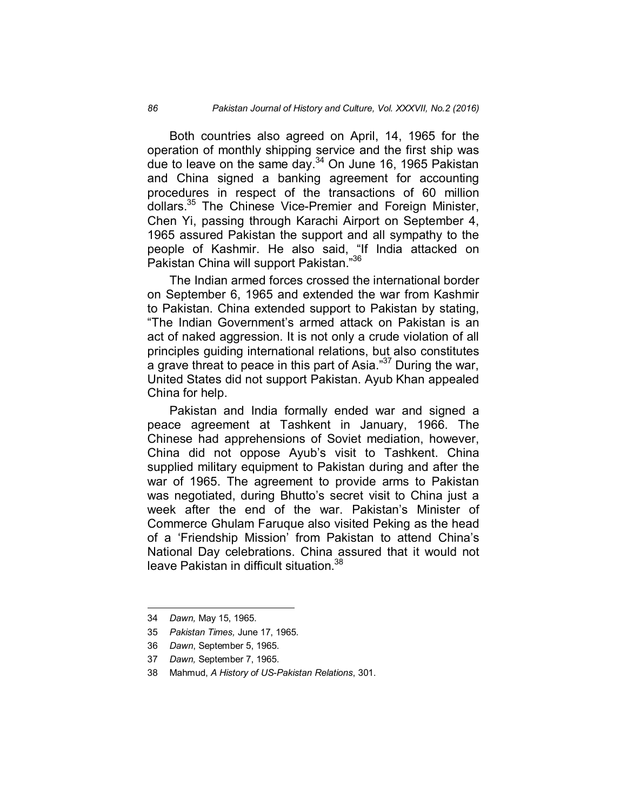Both countries also agreed on April, 14, 1965 for the operation of monthly shipping service and the first ship was due to leave on the same day. $34$  On June 16, 1965 Pakistan and China signed a banking agreement for accounting procedures in respect of the transactions of 60 million dollars.<sup>35</sup> The Chinese Vice-Premier and Foreign Minister, Chen Yi, passing through Karachi Airport on September 4, 1965 assured Pakistan the support and all sympathy to the people of Kashmir. He also said, "If India attacked on Pakistan China will support Pakistan."<sup>36</sup>

The Indian armed forces crossed the international border on September 6, 1965 and extended the war from Kashmir to Pakistan. China extended support to Pakistan by stating, "The Indian Government's armed attack on Pakistan is an act of naked aggression. It is not only a crude violation of all principles guiding international relations, but also constitutes a grave threat to peace in this part of Asia."<sup>37</sup> During the war, United States did not support Pakistan. Ayub Khan appealed China for help.

Pakistan and India formally ended war and signed a peace agreement at Tashkent in January, 1966. The Chinese had apprehensions of Soviet mediation, however, China did not oppose Ayub's visit to Tashkent. China supplied military equipment to Pakistan during and after the war of 1965. The agreement to provide arms to Pakistan was negotiated, during Bhutto's secret visit to China just a week after the end of the war. Pakistan's Minister of Commerce Ghulam Faruque also visited Peking as the head of a 'Friendship Mission' from Pakistan to attend China's National Day celebrations. China assured that it would not leave Pakistan in difficult situation.<sup>38</sup>

 $\overline{a}$ 

35 *Pakistan Times,* June 17, 1965.

<sup>34</sup> *Dawn,* May 15, 1965.

<sup>36</sup> *Dawn*, September 5, 1965.

<sup>37</sup> *Dawn,* September 7, 1965.

<sup>38</sup> Mahmud, *A History of US-Pakistan Relations*, 301.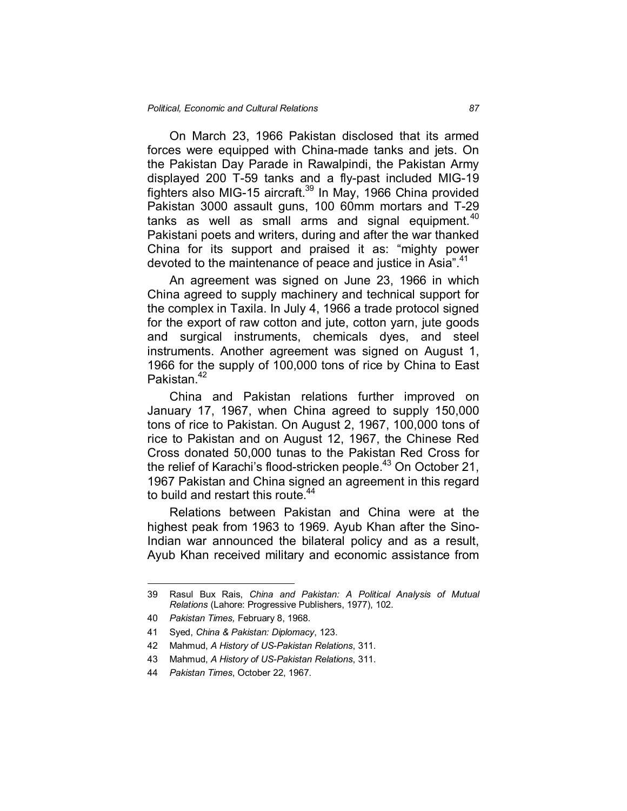On March 23, 1966 Pakistan disclosed that its armed forces were equipped with China-made tanks and jets. On the Pakistan Day Parade in Rawalpindi, the Pakistan Army displayed 200 T-59 tanks and a fly-past included MIG-19 fighters also MIG-15 aircraft.<sup>39</sup> In May, 1966 China provided Pakistan 3000 assault guns, 100 60mm mortars and T-29 tanks as well as small arms and signal equipment. $40$ Pakistani poets and writers, during and after the war thanked China for its support and praised it as: "mighty power devoted to the maintenance of peace and justice in Asia".<sup>41</sup>

An agreement was signed on June 23, 1966 in which China agreed to supply machinery and technical support for the complex in Taxila. In July 4, 1966 a trade protocol signed for the export of raw cotton and jute, cotton yarn, jute goods and surgical instruments, chemicals dyes, and steel instruments. Another agreement was signed on August 1, 1966 for the supply of 100,000 tons of rice by China to East Pakistan.<sup>42</sup>

China and Pakistan relations further improved on January 17, 1967, when China agreed to supply 150,000 tons of rice to Pakistan. On August 2, 1967, 100,000 tons of rice to Pakistan and on August 12, 1967, the Chinese Red Cross donated 50,000 tunas to the Pakistan Red Cross for the relief of Karachi's flood-stricken people.<sup>43</sup> On October 21, 1967 Pakistan and China signed an agreement in this regard to build and restart this route.<sup>44</sup>

Relations between Pakistan and China were at the highest peak from 1963 to 1969. Ayub Khan after the Sino-Indian war announced the bilateral policy and as a result, Ayub Khan received military and economic assistance from

<u>.</u>

<sup>39</sup> Rasul Bux Rais, *China and Pakistan: A Political Analysis of Mutual Relations* (Lahore: Progressive Publishers, 1977), 102.

<sup>40</sup> *Pakistan Times,* February 8, 1968.

<sup>41</sup> Syed, *China & Pakistan: Diplomacy*, 123.

<sup>42</sup> Mahmud, *A History of US-Pakistan Relations*, 311.

<sup>43</sup> Mahmud, *A History of US-Pakistan Relations*, 311.

<sup>44</sup> *Pakistan Times*, October 22, 1967.